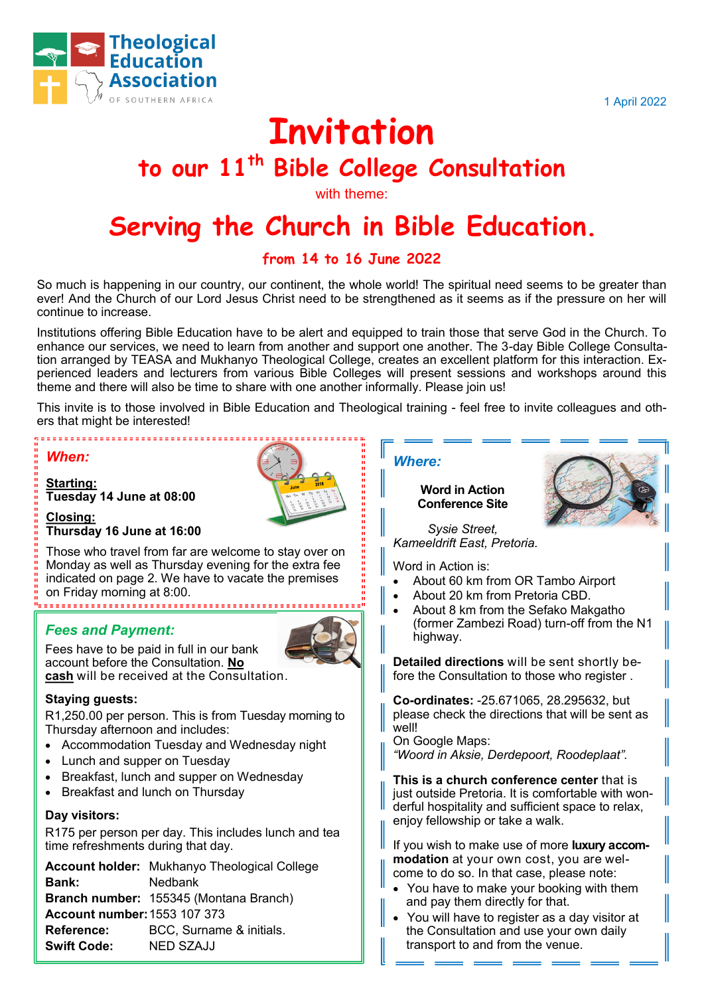

1 April 2022

# **Invitation**

# **to our 11th Bible College Consultation**

with theme:

# **Serving the Church in Bible Education.**

# **from 14 to 16 June 2022**

So much is happening in our country, our continent, the whole world! The spiritual need seems to be greater than ever! And the Church of our Lord Jesus Christ need to be strengthened as it seems as if the pressure on her will continue to increase.

Institutions offering Bible Education have to be alert and equipped to train those that serve God in the Church. To enhance our services, we need to learn from another and support one another. The 3-day Bible College Consultation arranged by TEASA and Mukhanyo Theological College, creates an excellent platform for this interaction. Experienced leaders and lecturers from various Bible Colleges will present sessions and workshops around this theme and there will also be time to share with one another informally. Please join us!

This invite is to those involved in Bible Education and Theological training - feel free to invite colleagues and others that might be interested!

#### *When:*

**Starting: Tuesday 14 June at 08:00** 

,,,,,,,,,,,,,,,,,,,,,,,,,,,,,,,,,



**Closing: Thursday 16 June at 16:00**

Those who travel from far are welcome to stay over on Monday as well as Thursday evening for the extra fee indicated on page 2. We have to vacate the premises on Friday morning at 8:00.

# *Fees and Payment:*



Fees have to be paid in full in our bank account before the Consultation. **No cash** will be received at the Consultation.

#### **Staying guests:**

R1,250.00 per person. This is from Tuesday morning to Thursday afternoon and includes:

- Accommodation Tuesday and Wednesday night
- Lunch and supper on Tuesday
- Breakfast, lunch and supper on Wednesday
- Breakfast and lunch on Thursday

#### **Day visitors:**

R175 per person per day. This includes lunch and tea time refreshments during that day.

**Account holder:** Mukhanyo Theological College **Bank:** Nedbank **Branch number:** 155345 (Montana Branch) **Account number:**1553 107 373 **Reference:** BCC, Surname & initials. **Swift Code:** NED SZAJJ

#### *Where:*

**Word in Action Conference Site**



*Sysie Street, Kameeldrift East, Pretoria.*

Word in Action is:

- About 60 km from OR Tambo Airport
- About 20 km from Pretoria CBD.
- About 8 km from the Sefako Makgatho (former Zambezi Road) turn-off from the N1 highway.

**Detailed directions** will be sent shortly before the Consultation to those who register .

**Co-ordinates:** -25.671065, 28.295632, but please check the directions that will be sent as well!

On Google Maps: *"Woord in Aksie, Derdepoort, Roodeplaat".*

**This is a church conference center** that is just outside Pretoria. It is comfortable with wonderful hospitality and sufficient space to relax, enjoy fellowship or take a walk.

If you wish to make use of more **luxury accommodation** at your own cost, you are welcome to do so. In that case, please note:

- You have to make your booking with them and pay them directly for that.
- You will have to register as a day visitor at the Consultation and use your own daily transport to and from the venue.